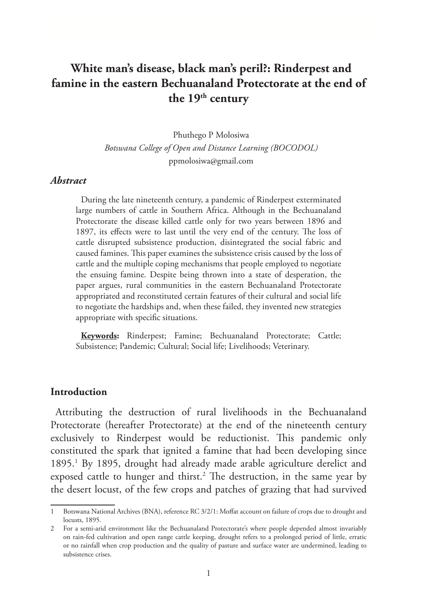# **White man's disease, black man's peril?: Rinderpest and famine in the eastern Bechuanaland Protectorate at the end of**  the 19<sup>th</sup> century

Phuthego P Molosiwa

*Botswana College of Open and Distance Learning (BOCODOL)*

ppmolosiwa@gmail.com

#### *Abstract*

During the late nineteenth century, a pandemic of Rinderpest exterminated large numbers of cattle in Southern Africa. Although in the Bechuanaland Protectorate the disease killed cattle only for two years between 1896 and 1897, its effects were to last until the very end of the century. The loss of cattle disrupted subsistence production, disintegrated the social fabric and caused famines. This paper examines the subsistence crisis caused by the loss of cattle and the multiple coping mechanisms that people employed to negotiate the ensuing famine. Despite being thrown into a state of desperation, the paper argues, rural communities in the eastern Bechuanaland Protectorate appropriated and reconstituted certain features of their cultural and social life to negotiate the hardships and, when these failed, they invented new strategies appropriate with specific situations.

**Keywords:** Rinderpest; Famine; Bechuanaland Protectorate; Cattle; Subsistence; Pandemic; Cultural; Social life; Livelihoods; Veterinary.

#### **Introduction**

Attributing the destruction of rural livelihoods in the Bechuanaland Protectorate (hereafter Protectorate) at the end of the nineteenth century exclusively to Rinderpest would be reductionist. This pandemic only constituted the spark that ignited a famine that had been developing since 1895.<sup>1</sup> By 1895, drought had already made arable agriculture derelict and exposed cattle to hunger and thirst.<sup>2</sup> The destruction, in the same year by the desert locust, of the few crops and patches of grazing that had survived

<sup>1</sup> Botswana National Archives (BNA), reference RC 3/2/1: Moffat account on failure of crops due to drought and locusts, 1895.

<sup>2</sup> For a semi-arid environment like the Bechuanaland Protectorate's where people depended almost invariably on rain-fed cultivation and open range cattle keeping, drought refers to a prolonged period of little, erratic or no rainfall when crop production and the quality of pasture and surface water are undermined, leading to subsistence crises.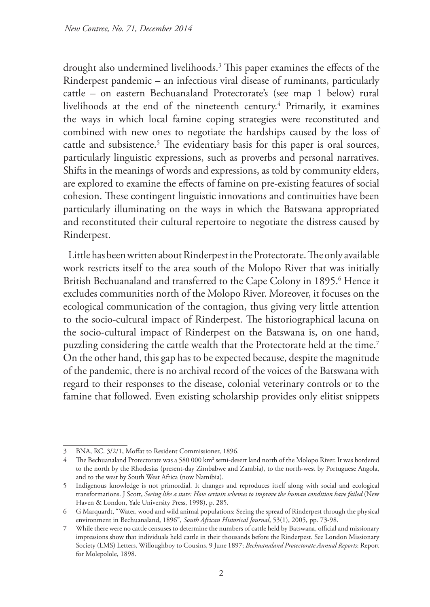drought also undermined livelihoods.3 This paper examines the effects of the Rinderpest pandemic – an infectious viral disease of ruminants, particularly cattle – on eastern Bechuanaland Protectorate's (see map 1 below) rural livelihoods at the end of the nineteenth century.<sup>4</sup> Primarily, it examines the ways in which local famine coping strategies were reconstituted and combined with new ones to negotiate the hardships caused by the loss of cattle and subsistence.<sup>5</sup> The evidentiary basis for this paper is oral sources, particularly linguistic expressions, such as proverbs and personal narratives. Shifts in the meanings of words and expressions, as told by community elders, are explored to examine the effects of famine on pre-existing features of social cohesion. These contingent linguistic innovations and continuities have been particularly illuminating on the ways in which the Batswana appropriated and reconstituted their cultural repertoire to negotiate the distress caused by Rinderpest.

Little has been written about Rinderpest in the Protectorate. The only available work restricts itself to the area south of the Molopo River that was initially British Bechuanaland and transferred to the Cape Colony in 1895.6 Hence it excludes communities north of the Molopo River. Moreover, it focuses on the ecological communication of the contagion, thus giving very little attention to the socio-cultural impact of Rinderpest. The historiographical lacuna on the socio-cultural impact of Rinderpest on the Batswana is, on one hand, puzzling considering the cattle wealth that the Protectorate held at the time.<sup>7</sup> On the other hand, this gap has to be expected because, despite the magnitude of the pandemic, there is no archival record of the voices of the Batswana with regard to their responses to the disease, colonial veterinary controls or to the famine that followed. Even existing scholarship provides only elitist snippets

<sup>3</sup> BNA, RC. 3/2/1, Moffat to Resident Commissioner, 1896.

<sup>4</sup> The Bechuanaland Protectorate was a 580 000 km<sup>2</sup> semi-desert land north of the Molopo River. It was bordered to the north by the Rhodesias (present-day Zimbabwe and Zambia), to the north-west by Portuguese Angola, and to the west by South West Africa (now Namibia).

<sup>5</sup> Indigenous knowledge is not primordial. It changes and reproduces itself along with social and ecological transformations. J Scott, *Seeing like a state: How certain schemes to improve the human condition have failed* (New Haven & London, Yale University Press, 1998), p. 285.

<sup>6</sup> G Marquardt, "Water, wood and wild animal populations: Seeing the spread of Rinderpest through the physical environment in Bechuanaland, 1896", *South African Historical Journal*, 53(1), 2005, pp. 73-98.

<sup>7</sup> While there were no cattle censuses to determine the numbers of cattle held by Batswana, official and missionary impressions show that individuals held cattle in their thousands before the Rinderpest. See London Missionary Society (LMS) Letters, Willoughboy to Cousins, 9 June 1897; *Bechuanaland Protectorate Annual Reports*: Report for Molepolole, 1898.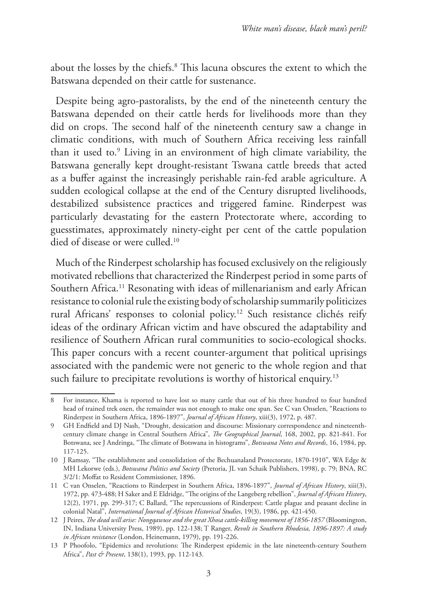about the losses by the chiefs.8 This lacuna obscures the extent to which the Batswana depended on their cattle for sustenance.

Despite being agro-pastoralists, by the end of the nineteenth century the Batswana depended on their cattle herds for livelihoods more than they did on crops. The second half of the nineteenth century saw a change in climatic conditions, with much of Southern Africa receiving less rainfall than it used to.9 Living in an environment of high climate variability, the Batswana generally kept drought-resistant Tswana cattle breeds that acted as a buffer against the increasingly perishable rain-fed arable agriculture. A sudden ecological collapse at the end of the Century disrupted livelihoods, destabilized subsistence practices and triggered famine. Rinderpest was particularly devastating for the eastern Protectorate where, according to guesstimates, approximately ninety-eight per cent of the cattle population died of disease or were culled.10

Much of the Rinderpest scholarship has focused exclusively on the religiously motivated rebellions that characterized the Rinderpest period in some parts of Southern Africa.<sup>11</sup> Resonating with ideas of millenarianism and early African resistance to colonial rule the existing body of scholarship summarily politicizes rural Africans' responses to colonial policy.12 Such resistance clichés reify ideas of the ordinary African victim and have obscured the adaptability and resilience of Southern African rural communities to socio-ecological shocks. This paper concurs with a recent counter-argument that political uprisings associated with the pandemic were not generic to the whole region and that such failure to precipitate revolutions is worthy of historical enquiry.<sup>13</sup>

<sup>8</sup> For instance, Khama is reported to have lost so many cattle that out of his three hundred to four hundred head of trained trek oxen, the remainder was not enough to make one span. See C van Onselen, "Reactions to Rinderpest in Southern Africa, 1896-1897", *Journal of African History*, xiii(3), 1972, p. 487.

<sup>9</sup> GH Endfield and DJ Nash, "Drought, dessication and discourse: Missionary correspondence and nineteenthcentury climate change in Central Southern Africa", *The Geographical Journal*, 168, 2002, pp. 821-841. For Botswana, see J Andringa, "The climate of Botswana in histograms", *Botswana Notes and Records*, 16, 1984, pp. 117-125.

<sup>10</sup> J Ramsay, "The establishment and consolidation of the Bechuanaland Protectorate, 1870-1910", WA Edge & MH Lekorwe (eds.), *Botswana Politics and Society* (Pretoria, JL van Schaik Publishers, 1998), p. 79; BNA, RC 3/2/1: Moffat to Resident Commissioner, 1896.

<sup>11</sup> C van Onselen, "Reactions to Rinderpest in Southern Africa, 1896-1897", *Journal of African History*, xiii(3), 1972, pp. 473-488; H Saker and E Eldridge, "The origins of the Langeberg rebellion", *Journal of African History*, 12(2), 1971, pp. 299-317; C Ballard, "The repercussions of Rinderpest: Cattle plague and peasant decline in colonial Natal", *International Journal of African Historical Studies*, 19(3), 1986, pp. 421-450.

<sup>12</sup> J Peires, *The dead will arise: Nongqawuse and the great Xhosa cattle-killing movement of 1856-1857* (Bloomington, IN, Indiana University Press, 1989), pp. 122-138; T Ranger, *Revolt in Southern Rhodesia, 1896-1897: A study in African resistance* (London, Heinemann, 1979), pp. 191-226.

<sup>13</sup> P Phoofolo, "Epidemics and revolutions: The Rinderpest epidemic in the late nineteenth-century Southern Africa", *Past & Present*, 138(1), 1993, pp. 112-143.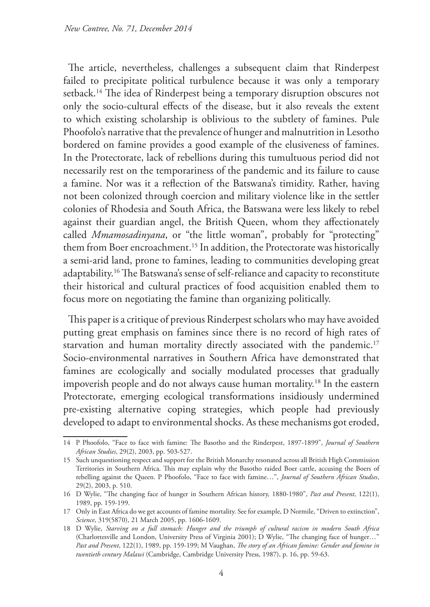The article, nevertheless, challenges a subsequent claim that Rinderpest failed to precipitate political turbulence because it was only a temporary setback.<sup>14</sup> The idea of Rinderpest being a temporary disruption obscures not only the socio-cultural effects of the disease, but it also reveals the extent to which existing scholarship is oblivious to the subtlety of famines. Pule Phoofolo's narrative that the prevalence of hunger and malnutrition in Lesotho bordered on famine provides a good example of the elusiveness of famines. In the Protectorate, lack of rebellions during this tumultuous period did not necessarily rest on the temporariness of the pandemic and its failure to cause a famine. Nor was it a reflection of the Batswana's timidity. Rather, having not been colonized through coercion and military violence like in the settler colonies of Rhodesia and South Africa, the Batswana were less likely to rebel against their guardian angel, the British Queen, whom they affectionately called *Mmamosadinyana*, or "the little woman", probably for "protecting" them from Boer encroachment.<sup>15</sup> In addition, the Protectorate was historically a semi-arid land, prone to famines, leading to communities developing great adaptability.16 The Batswana's sense of self-reliance and capacity to reconstitute their historical and cultural practices of food acquisition enabled them to focus more on negotiating the famine than organizing politically.

This paper is a critique of previous Rinderpest scholars who may have avoided putting great emphasis on famines since there is no record of high rates of starvation and human mortality directly associated with the pandemic.<sup>17</sup> Socio-environmental narratives in Southern Africa have demonstrated that famines are ecologically and socially modulated processes that gradually impoverish people and do not always cause human mortality.<sup>18</sup> In the eastern Protectorate, emerging ecological transformations insidiously undermined pre-existing alternative coping strategies, which people had previously developed to adapt to environmental shocks. As these mechanisms got eroded,

<sup>14</sup> P Phoofolo, "Face to face with famine: The Basotho and the Rinderpest, 1897-1899", *Journal of Southern African Studies*, 29(2), 2003, pp. 503-527.

<sup>15</sup> Such unquestioning respect and support for the British Monarchy resonated across all British High Commission Territories in Southern Africa. This may explain why the Basotho raided Boer cattle, accusing the Boers of rebelling against the Queen. P Phoofolo, "Face to face with famine…", *Journal of Southern African Studies*, 29(2), 2003, p. 510.

<sup>16</sup> D Wylie, "The changing face of hunger in Southern African history, 1880-1980", *Past and Present*, 122(1), 1989, pp. 159-199.

<sup>17</sup> Only in East Africa do we get accounts of famine mortality. See for example, D Normile, "Driven to extinction", *Science*, 319(5870), 21 March 2005, pp. 1606-1609.

<sup>18</sup> D Wylie, *Starving on a full stomach: Hunger and the triumph of cultural racism in modern South Africa* (Charlottesville and London, University Press of Virginia 2001); D Wylie, "The changing face of hunger…" *Past and Present*, 122(1), 1989, pp. 159-199; M Vaughan, *The story of an African famine: Gender and famine in twentieth century Malawi* (Cambridge, Cambridge University Press, 1987), p. 16, pp. 59-63.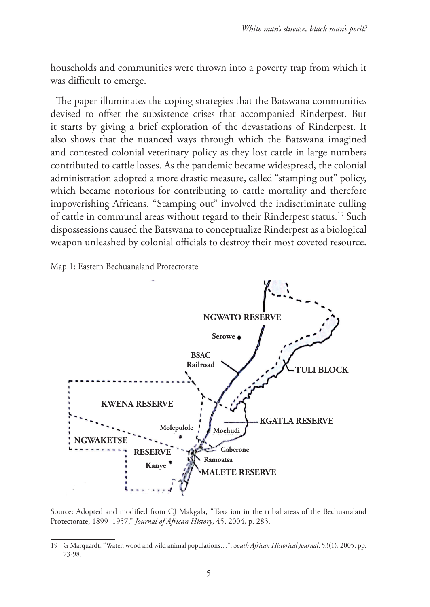households and communities were thrown into a poverty trap from which it was difficult to emerge.

The paper illuminates the coping strategies that the Batswana communities devised to offset the subsistence crises that accompanied Rinderpest. But it starts by giving a brief exploration of the devastations of Rinderpest. It also shows that the nuanced ways through which the Batswana imagined and contested colonial veterinary policy as they lost cattle in large numbers contributed to cattle losses. As the pandemic became widespread, the colonial administration adopted a more drastic measure, called "stamping out" policy, which became notorious for contributing to cattle mortality and therefore impoverishing Africans. "Stamping out" involved the indiscriminate culling of cattle in communal areas without regard to their Rinderpest status.19 Such dispossessions caused the Batswana to conceptualize Rinderpest as a biological weapon unleashed by colonial officials to destroy their most coveted resource.

Map 1: Eastern Bechuanaland Protectorate



Source: Adopted and modified from CJ Makgala, "Taxation in the tribal areas of the Bechuanaland Protectorate, 1899–1957," *Journal of African History*, 45, 2004, p. 283.

<sup>19</sup> G Marquardt, "Water, wood and wild animal populations…", *South African Historical Journal*, 53(1), 2005, pp. 73-98.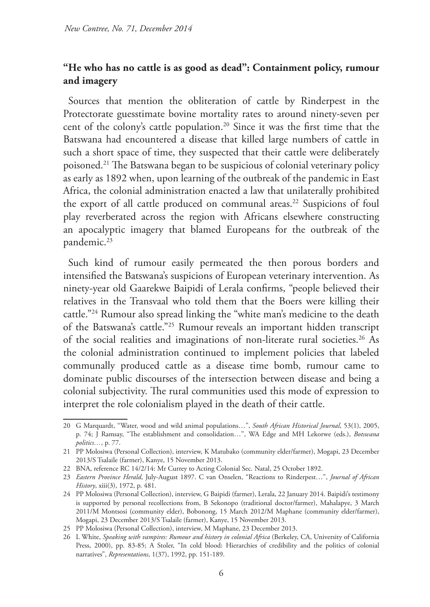## **"He who has no cattle is as good as dead": Containment policy, rumour and imagery**

Sources that mention the obliteration of cattle by Rinderpest in the Protectorate guesstimate bovine mortality rates to around ninety-seven per cent of the colony's cattle population.<sup>20</sup> Since it was the first time that the Batswana had encountered a disease that killed large numbers of cattle in such a short space of time, they suspected that their cattle were deliberately poisoned.21 The Batswana began to be suspicious of colonial veterinary policy as early as 1892 when, upon learning of the outbreak of the pandemic in East Africa, the colonial administration enacted a law that unilaterally prohibited the export of all cattle produced on communal areas.<sup>22</sup> Suspicions of foul play reverberated across the region with Africans elsewhere constructing an apocalyptic imagery that blamed Europeans for the outbreak of the pandemic.<sup>23</sup>

Such kind of rumour easily permeated the then porous borders and intensified the Batswana's suspicions of European veterinary intervention. As ninety-year old Gaarekwe Baipidi of Lerala confirms, "people believed their relatives in the Transvaal who told them that the Boers were killing their cattle."24 Rumour also spread linking the "white man's medicine to the death of the Batswana's cattle."25 Rumour reveals an important hidden transcript of the social realities and imaginations of non-literate rural societies.<sup>26</sup> As the colonial administration continued to implement policies that labeled communally produced cattle as a disease time bomb, rumour came to dominate public discourses of the intersection between disease and being a colonial subjectivity. The rural communities used this mode of expression to interpret the role colonialism played in the death of their cattle.

<sup>20</sup> G Marquardt, "Water, wood and wild animal populations…", *South African Historical Journal*, 53(1), 2005, p. 74; J Ramsay, "The establishment and consolidation…", WA Edge and MH Lekorwe (eds.), *Botswana politics…*, p. 77.

<sup>21</sup> PP Molosiwa (Personal Collection), interview, K Matubako (community elder/farmer), Mogapi, 23 December 2013/S Tsalaile (farmer), Kanye, 15 November 2013.

<sup>22</sup> BNA, reference RC 14/2/14: Mr Currey to Acting Colonial Sec. Natal, 25 October 1892.

<sup>23</sup> *Eastern Province Herald*, July-August 1897. C van Onselen, "Reactions to Rinderpest…", *Journal of African History*, xiii(3), 1972, p. 481.

<sup>24</sup> PP Molosiwa (Personal Collection), interview, G Baipidi (farmer), Lerala, 22 January 2014. Baipidi's testimony is supported by personal recollections from, B Sekonopo (traditional doctor/farmer), Mahalapye, 3 March 2011/M Montsosi (community elder), Bobonong, 15 March 2012/M Maphane (community elder/farmer), Mogapi, 23 December 2013/S Tsalaile (farmer), Kanye, 15 November 2013.

<sup>25</sup> PP Molosiwa (Personal Collection), interview, M Maphane, 23 December 2013.

<sup>26</sup> L White, *Speaking with vampires: Rumour and history in colonial Africa* (Berkeley, CA, University of California Press, 2000), pp. 83-85; A Stoler, "In cold blood: Hierarchies of credibility and the politics of colonial narratives", *Representations*, 1(37), 1992, pp. 151-189.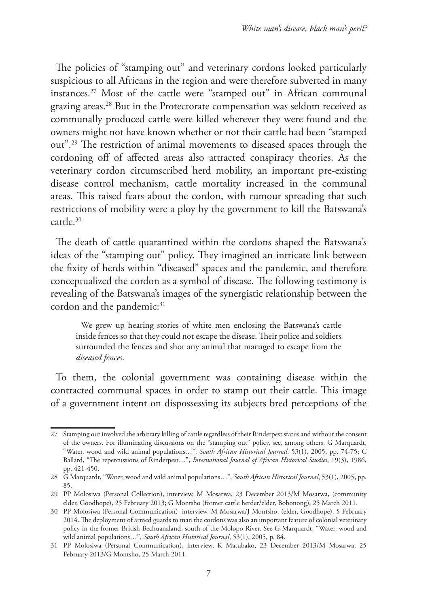The policies of "stamping out" and veterinary cordons looked particularly suspicious to all Africans in the region and were therefore subverted in many instances.27 Most of the cattle were "stamped out" in African communal grazing areas.28 But in the Protectorate compensation was seldom received as communally produced cattle were killed wherever they were found and the owners might not have known whether or not their cattle had been "stamped out".29 The restriction of animal movements to diseased spaces through the cordoning off of affected areas also attracted conspiracy theories. As the veterinary cordon circumscribed herd mobility, an important pre-existing disease control mechanism, cattle mortality increased in the communal areas. This raised fears about the cordon, with rumour spreading that such restrictions of mobility were a ploy by the government to kill the Batswana's cattle.30

The death of cattle quarantined within the cordons shaped the Batswana's ideas of the "stamping out" policy. They imagined an intricate link between the fixity of herds within "diseased" spaces and the pandemic, and therefore conceptualized the cordon as a symbol of disease. The following testimony is revealing of the Batswana's images of the synergistic relationship between the cordon and the pandemic:<sup>31</sup>

We grew up hearing stories of white men enclosing the Batswana's cattle inside fences so that they could not escape the disease. Their police and soldiers surrounded the fences and shot any animal that managed to escape from the *diseased fences*.

To them, the colonial government was containing disease within the contracted communal spaces in order to stamp out their cattle. This image of a government intent on dispossessing its subjects bred perceptions of the

<sup>27</sup> Stamping out involved the arbitrary killing of cattle regardless of their Rinderpest status and without the consent of the owners. For illuminating discussions on the "stamping out" policy, see, among others, G Marquardt, "Water, wood and wild animal populations…", *South African Historical Journal*, 53(1), 2005, pp. 74-75; C Ballard, "The repercussions of Rinderpest…", *International Journal of African Historical Studies*, 19(3), 1986, pp. 421-450.

<sup>28</sup> G Marquardt, "Water, wood and wild animal populations…", *South African Historical Journal*, 53(1), 2005, pp. 85.

<sup>29</sup> PP Molosiwa (Personal Collection), interview, M Mosarwa, 23 December 2013/M Mosarwa, (community elder, Goodhope), 25 February 2013; G Montsho (former cattle herder/elder, Bobonong), 25 March 2011.

<sup>30</sup> PP Molosiwa (Personal Communication), interview, M Mosarwa/J Montsho, (elder, Goodhope), 5 February 2014. The deployment of armed guards to man the cordons was also an important feature of colonial veterinary policy in the former British Bechuanaland, south of the Molopo River. See G Marquardt, "Water, wood and wild animal populations…", *South African Historical Journal*, 53(1), 2005, p. 84.

<sup>31</sup> PP Molosiwa (Personal Communication), interview, K Matubako, 23 December 2013/M Mosarwa, 25 February 2013/G Montsho, 25 March 2011.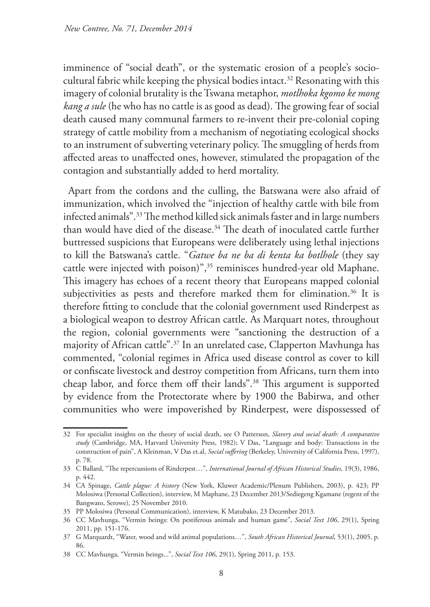imminence of "social death", or the systematic erosion of a people's sociocultural fabric while keeping the physical bodies intact.<sup>32</sup> Resonating with this imagery of colonial brutality is the Tswana metaphor, *motlhoka kgomo ke mong kang a sule* (he who has no cattle is as good as dead). The growing fear of social death caused many communal farmers to re-invent their pre-colonial coping strategy of cattle mobility from a mechanism of negotiating ecological shocks to an instrument of subverting veterinary policy. The smuggling of herds from affected areas to unaffected ones, however, stimulated the propagation of the contagion and substantially added to herd mortality.

Apart from the cordons and the culling, the Batswana were also afraid of immunization, which involved the "injection of healthy cattle with bile from infected animals".33 The method killed sick animals faster and in large numbers than would have died of the disease.<sup>34</sup> The death of inoculated cattle further buttressed suspicions that Europeans were deliberately using lethal injections to kill the Batswana's cattle. "*Gatwe ba ne ba di kenta ka botlhole* (they say cattle were injected with poison)",35 reminisces hundred-year old Maphane. This imagery has echoes of a recent theory that Europeans mapped colonial subjectivities as pests and therefore marked them for elimination.<sup>36</sup> It is therefore fitting to conclude that the colonial government used Rinderpest as a biological weapon to destroy African cattle. As Marquart notes, throughout the region, colonial governments were "sanctioning the destruction of a majority of African cattle".37 In an unrelated case, Clapperton Mavhunga has commented, "colonial regimes in Africa used disease control as cover to kill or confiscate livestock and destroy competition from Africans, turn them into cheap labor, and force them off their lands".38 This argument is supported by evidence from the Protectorate where by 1900 the Babirwa, and other communities who were impoverished by Rinderpest, were dispossessed of

<sup>32</sup> For specialist insights on the theory of social death, see O Patterson, *Slavery and social death: A comparative study* (Cambridge, MA, Harvard University Press, 1982); V Das, "Language and body: Transactions in the construction of pain", A Kleinman, V Das et.al, *Social suffering* (Berkeley, University of California Press, 1997), p. 78.

<sup>33</sup> C Ballard, "The repercussions of Rinderpest…", *International Journal of African Historical Studies*, 19(3), 1986, p. 442.

<sup>34</sup> CA Spinage, *Cattle plague: A history* (New York, Kluwer Academic/Plenum Publishers, 2003), p. 423; PP Molosiwa (Personal Collection), interview, M Maphane, 23 December 2013/Sediegeng Kgamane (regent of the Bangwato, Serowe), 25 November 2010.

<sup>35</sup> PP Molosiwa (Personal Communication), interview, K Matubako, 23 December 2013.

<sup>36</sup> CC Mavhunga, "Vermin beings: On pestiferous animals and human game", *Social Text 106*, 29(1), Spring 2011, pp. 151-176.

<sup>37</sup> G Marquardt, "Water, wood and wild animal populations…", *South African Historical Journal*, 53(1), 2005, p. 86.

<sup>38</sup> CC Mavhunga, "Vermin beings...", *Social Text 106*, 29(1), Spring 2011, p. 153.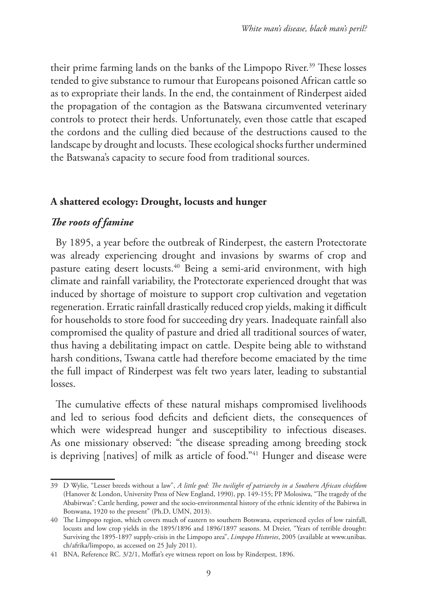their prime farming lands on the banks of the Limpopo River.<sup>39</sup> These losses tended to give substance to rumour that Europeans poisoned African cattle so as to expropriate their lands. In the end, the containment of Rinderpest aided the propagation of the contagion as the Batswana circumvented veterinary controls to protect their herds. Unfortunately, even those cattle that escaped the cordons and the culling died because of the destructions caused to the landscape by drought and locusts. These ecological shocks further undermined the Batswana's capacity to secure food from traditional sources.

#### **A shattered ecology: Drought, locusts and hunger**

## *The roots of famine*

By 1895, a year before the outbreak of Rinderpest, the eastern Protectorate was already experiencing drought and invasions by swarms of crop and pasture eating desert locusts.<sup>40</sup> Being a semi-arid environment, with high climate and rainfall variability, the Protectorate experienced drought that was induced by shortage of moisture to support crop cultivation and vegetation regeneration. Erratic rainfall drastically reduced crop yields, making it difficult for households to store food for succeeding dry years. Inadequate rainfall also compromised the quality of pasture and dried all traditional sources of water, thus having a debilitating impact on cattle. Despite being able to withstand harsh conditions, Tswana cattle had therefore become emaciated by the time the full impact of Rinderpest was felt two years later, leading to substantial losses.

The cumulative effects of these natural mishaps compromised livelihoods and led to serious food deficits and deficient diets, the consequences of which were widespread hunger and susceptibility to infectious diseases. As one missionary observed: "the disease spreading among breeding stock is depriving [natives] of milk as article of food."<sup>41</sup> Hunger and disease were

<sup>39</sup> D Wylie, "Lesser breeds without a law", *A little god: The twilight of patriarchy in a Southern African chiefdom* (Hanover & London, University Press of New England, 1990), pp. 149-155; PP Molosiwa, "The tragedy of the Ababirwas": Cattle herding, power and the socio-environmental history of the ethnic identity of the Babirwa in Botswana, 1920 to the present" (Ph.D, UMN, 2013).

<sup>40</sup> The Limpopo region, which covers much of eastern to southern Botswana, experienced cycles of low rainfall, locusts and low crop yields in the 1895/1896 and 1896/1897 seasons. M Dreier, "Years of terrible drought: Surviving the 1895-1897 supply-crisis in the Limpopo area", *Limpopo Histories*, 2005 (available at www.unibas. ch/afrika/limpopo, as accessed on 25 July 2011).

<sup>41</sup> BNA, Reference RC. 3/2/1, Moffat's eye witness report on loss by Rinderpest, 1896.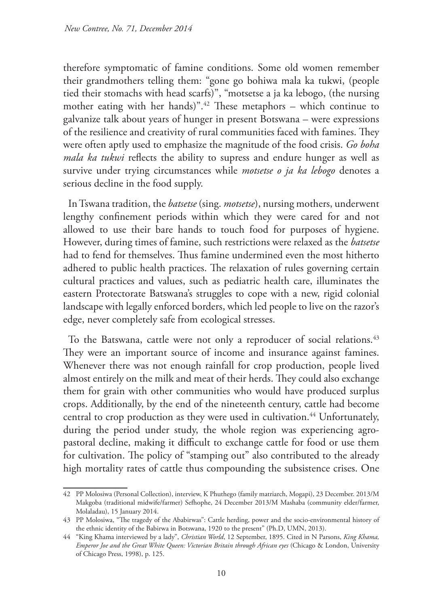therefore symptomatic of famine conditions. Some old women remember their grandmothers telling them: "gone go bohiwa mala ka tukwi, (people tied their stomachs with head scarfs)", "motsetse a ja ka lebogo, (the nursing mother eating with her hands)".<sup>42</sup> These metaphors – which continue to galvanize talk about years of hunger in present Botswana – were expressions of the resilience and creativity of rural communities faced with famines. They were often aptly used to emphasize the magnitude of the food crisis. *Go boha mala ka tukwi* reflects the ability to supress and endure hunger as well as survive under trying circumstances while *motsetse o ja ka lebogo* denotes a serious decline in the food supply.

In Tswana tradition, the *batsetse* (sing. *motsetse*), nursing mothers, underwent lengthy confinement periods within which they were cared for and not allowed to use their bare hands to touch food for purposes of hygiene. However, during times of famine, such restrictions were relaxed as the *batsetse* had to fend for themselves. Thus famine undermined even the most hitherto adhered to public health practices. The relaxation of rules governing certain cultural practices and values, such as pediatric health care, illuminates the eastern Protectorate Batswana's struggles to cope with a new, rigid colonial landscape with legally enforced borders, which led people to live on the razor's edge, never completely safe from ecological stresses.

To the Batswana, cattle were not only a reproducer of social relations.<sup>43</sup> They were an important source of income and insurance against famines. Whenever there was not enough rainfall for crop production, people lived almost entirely on the milk and meat of their herds. They could also exchange them for grain with other communities who would have produced surplus crops. Additionally, by the end of the nineteenth century, cattle had become central to crop production as they were used in cultivation.<sup>44</sup> Unfortunately, during the period under study, the whole region was experiencing agropastoral decline, making it difficult to exchange cattle for food or use them for cultivation. The policy of "stamping out" also contributed to the already high mortality rates of cattle thus compounding the subsistence crises. One

<sup>42</sup> PP Molosiwa (Personal Collection), interview, K Phuthego (family matriarch, Mogapi), 23 December. 2013/M Makgoba (traditional midwife/farmer) Sefhophe, 24 December 2013/M Mashaba (community elder/farmer, Molaladau), 15 January 2014.

<sup>43</sup> PP Molosiwa, "The tragedy of the Ababirwas": Cattle herding, power and the socio-environmental history of the ethnic identity of the Babirwa in Botswana, 1920 to the present" (Ph.D, UMN, 2013).

<sup>44</sup> "King Khama interviewed by a lady", *Christian World*, 12 September, 1895. Cited in N Parsons, *King Khama, Emperor Joe and the Great White Queen: Victorian Britain through African eyes* (Chicago & London, University of Chicago Press, 1998), p. 125.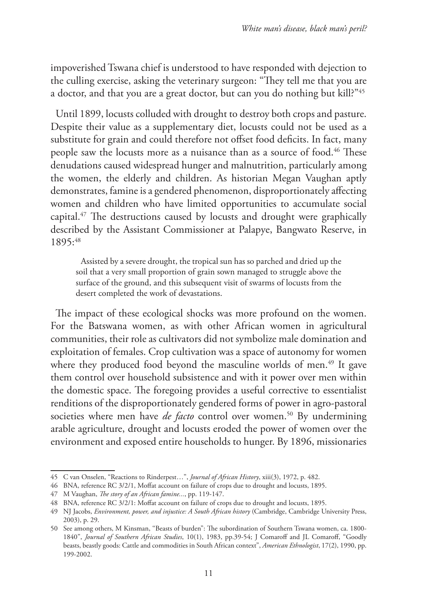impoverished Tswana chief is understood to have responded with dejection to the culling exercise, asking the veterinary surgeon: "They tell me that you are a doctor, and that you are a great doctor, but can you do nothing but kill?"45

Until 1899, locusts colluded with drought to destroy both crops and pasture. Despite their value as a supplementary diet, locusts could not be used as a substitute for grain and could therefore not offset food deficits. In fact, many people saw the locusts more as a nuisance than as a source of food.<sup>46</sup> These denudations caused widespread hunger and malnutrition, particularly among the women, the elderly and children. As historian Megan Vaughan aptly demonstrates, famine is a gendered phenomenon, disproportionately affecting women and children who have limited opportunities to accumulate social capital.47 The destructions caused by locusts and drought were graphically described by the Assistant Commissioner at Palapye, Bangwato Reserve, in 1895:48

Assisted by a severe drought, the tropical sun has so parched and dried up the soil that a very small proportion of grain sown managed to struggle above the surface of the ground, and this subsequent visit of swarms of locusts from the desert completed the work of devastations.

The impact of these ecological shocks was more profound on the women. For the Batswana women, as with other African women in agricultural communities, their role as cultivators did not symbolize male domination and exploitation of females. Crop cultivation was a space of autonomy for women where they produced food beyond the masculine worlds of men.<sup>49</sup> It gave them control over household subsistence and with it power over men within the domestic space. The foregoing provides a useful corrective to essentialist renditions of the disproportionately gendered forms of power in agro-pastoral societies where men have *de facto* control over women.<sup>50</sup> By undermining arable agriculture, drought and locusts eroded the power of women over the environment and exposed entire households to hunger. By 1896, missionaries

<sup>45</sup> C van Onselen, "Reactions to Rinderpest…", *Journal of African History*, xiii(3), 1972, p. 482.

<sup>46</sup> BNA, reference RC 3/2/1, Moffat account on failure of crops due to drought and locusts, 1895.

<sup>47</sup> M Vaughan, *The story of an African famine...*, pp. 119-147.

<sup>48</sup> BNA, reference RC 3/2/1: Moffat account on failure of crops due to drought and locusts, 1895.

<sup>49</sup> NJ Jacobs, *Environment, power, and injustice: A South African history* (Cambridge, Cambridge University Press, 2003), p. 29.

<sup>50</sup> See among others, M Kinsman, ''Beasts of burden": The subordination of Southern Tswana women, ca. 1800- 1840", *Journal of Southern African Studies*, 10(1), 1983, pp.39-54; J Comaroff and JL Comaroff, "Goodly beasts, beastly goods: Cattle and commodities in South African context", *American Ethnologist*, 17(2), 1990, pp. 199-2002.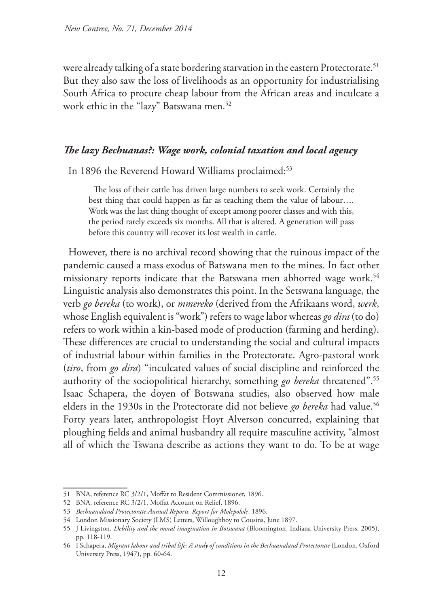were already talking of a state bordering starvation in the eastern Protectorate.<sup>51</sup> But they also saw the loss of livelihoods as an opportunity for industrialising South Africa to procure cheap labour from the African areas and inculcate a work ethic in the "lazy" Batswana men.<sup>52</sup>

#### *The lazy Bechuanas?: Wage work, colonial taxation and local agency*

In 1896 the Reverend Howard Williams proclaimed:<sup>53</sup>

The loss of their cattle has driven large numbers to seek work. Certainly the best thing that could happen as far as teaching them the value of labour…. Work was the last thing thought of except among poorer classes and with this, the period rarely exceeds six months. All that is altered. A generation will pass before this country will recover its lost wealth in cattle.

However, there is no archival record showing that the ruinous impact of the pandemic caused a mass exodus of Batswana men to the mines. In fact other missionary reports indicate that the Batswana men abhorred wage work.<sup>54</sup> Linguistic analysis also demonstrates this point. In the Setswana language, the verb *go bereka* (to work), or *mmereko* (derived from the Afrikaans word, *werk*, whose English equivalent is "work") refers to wage labor whereas *go dira* (to do) refers to work within a kin-based mode of production (farming and herding). These differences are crucial to understanding the social and cultural impacts of industrial labour within families in the Protectorate. Agro-pastoral work (*tiro*, from *go dira*) "inculcated values of social discipline and reinforced the authority of the sociopolitical hierarchy, something *go bereka* threatened".55 Isaac Schapera, the doyen of Botswana studies, also observed how male elders in the 1930s in the Protectorate did not believe go bereka had value.<sup>56</sup> Forty years later, anthropologist Hoyt Alverson concurred, explaining that ploughing fields and animal husbandry all require masculine activity, "almost all of which the Tswana describe as actions they want to do. To be at wage

<sup>51</sup> BNA, reference RC 3/2/1, Moffat to Resident Commissioner, 1896.

<sup>52</sup> BNA, reference RC 3/2/1, Moffat Account on Relief, 1896.

<sup>53</sup> *Bechuanaland Protectorate Annual Reports. Report for Molepolole*, 1896.

<sup>54</sup> London Missionary Society (LMS) Letters, Willoughboy to Cousins, June 1897.

<sup>55</sup> J Livingston, *Debility and the moral imagination in Botswana* (Bloomington, Indiana University Press, 2005), pp. 118-119.

<sup>56</sup> I Schapera, *Migrant labour and tribal life: A study of conditions in the Bechuanaland Protectorate* (London, Oxford University Press, 1947), pp. 60-64.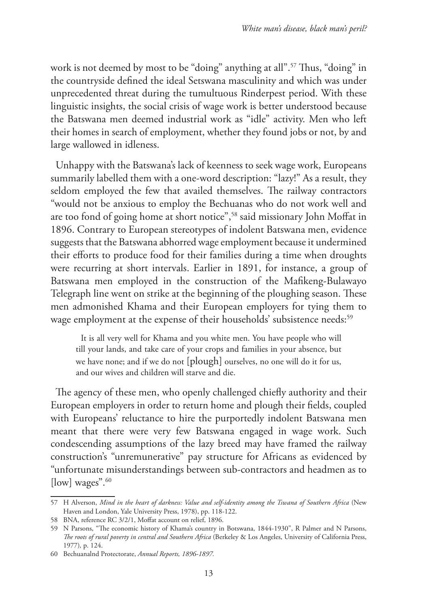work is not deemed by most to be "doing" anything at all".57 Thus, "doing" in the countryside defined the ideal Setswana masculinity and which was under unprecedented threat during the tumultuous Rinderpest period. With these linguistic insights, the social crisis of wage work is better understood because the Batswana men deemed industrial work as "idle" activity. Men who left their homes in search of employment, whether they found jobs or not, by and large wallowed in idleness.

Unhappy with the Batswana's lack of keenness to seek wage work, Europeans summarily labelled them with a one-word description: "lazy!" As a result, they seldom employed the few that availed themselves. The railway contractors "would not be anxious to employ the Bechuanas who do not work well and are too fond of going home at short notice",58 said missionary John Moffat in 1896. Contrary to European stereotypes of indolent Batswana men, evidence suggests that the Batswana abhorred wage employment because it undermined their efforts to produce food for their families during a time when droughts were recurring at short intervals. Earlier in 1891, for instance, a group of Batswana men employed in the construction of the Mafikeng-Bulawayo Telegraph line went on strike at the beginning of the ploughing season. These men admonished Khama and their European employers for tying them to wage employment at the expense of their households' subsistence needs:<sup>59</sup>

It is all very well for Khama and you white men. You have people who will till your lands, and take care of your crops and families in your absence, but we have none; and if we do not [plough] ourselves, no one will do it for us, and our wives and children will starve and die.

The agency of these men, who openly challenged chiefly authority and their European employers in order to return home and plough their fields, coupled with Europeans' reluctance to hire the purportedly indolent Batswana men meant that there were very few Batswana engaged in wage work. Such condescending assumptions of the lazy breed may have framed the railway construction's "unremunerative" pay structure for Africans as evidenced by "unfortunate misunderstandings between sub-contractors and headmen as to [ $\vert \text{low} \vert$  wages".  $\frac{60}{3}$ 

<sup>57</sup> H Alverson, *Mind in the heart of darkness: Value and self-identity among the Tswana of Southern Africa* (New Haven and London, Yale University Press, 1978), pp. 118-122.

<sup>58</sup> BNA, reference RC 3/2/1, Moffat account on relief, 1896.

<sup>59</sup> N Parsons, "The economic history of Khama's country in Botswana, 1844-1930", R Palmer and N Parsons, *The roots of rural poverty in central and Southern Africa* (Berkeley & Los Angeles, University of California Press, 1977)*,* p. 124.

<sup>60</sup> Bechuanalnd Protectorate, *Annual Reports, 1896-1897.*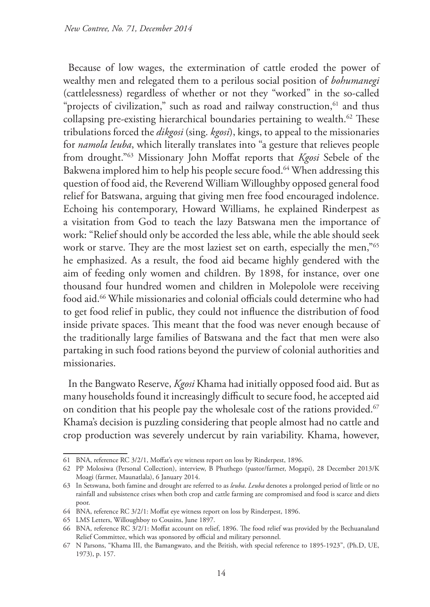Because of low wages, the extermination of cattle eroded the power of wealthy men and relegated them to a perilous social position of *bohumanegi* (cattlelessness) regardless of whether or not they "worked" in the so-called "projects of civilization," such as road and railway construction,<sup>61</sup> and thus collapsing pre-existing hierarchical boundaries pertaining to wealth.<sup>62</sup> These tribulations forced the *dikgosi* (sing. *kgosi*), kings, to appeal to the missionaries for *namola leuba*, which literally translates into "a gesture that relieves people from drought."63 Missionary John Moffat reports that *Kgosi* Sebele of the Bakwena implored him to help his people secure food.<sup>64</sup> When addressing this question of food aid, the Reverend William Willoughby opposed general food relief for Batswana, arguing that giving men free food encouraged indolence. Echoing his contemporary, Howard Williams, he explained Rinderpest as a visitation from God to teach the lazy Batswana men the importance of work: "Relief should only be accorded the less able, while the able should seek work or starve. They are the most laziest set on earth, especially the men,"<sup>65</sup> he emphasized. As a result, the food aid became highly gendered with the aim of feeding only women and children. By 1898, for instance, over one thousand four hundred women and children in Molepolole were receiving food aid.<sup>66</sup> While missionaries and colonial officials could determine who had to get food relief in public, they could not influence the distribution of food inside private spaces. This meant that the food was never enough because of the traditionally large families of Batswana and the fact that men were also partaking in such food rations beyond the purview of colonial authorities and missionaries.

In the Bangwato Reserve, *Kgosi* Khama had initially opposed food aid. But as many households found it increasingly difficult to secure food, he accepted aid on condition that his people pay the wholesale cost of the rations provided.<sup>67</sup> Khama's decision is puzzling considering that people almost had no cattle and crop production was severely undercut by rain variability. Khama, however,

<sup>61</sup> BNA, reference RC 3/2/1, Moffat's eye witness report on loss by Rinderpest, 1896.

<sup>62</sup> PP Molosiwa (Personal Collection), interview, B Phuthego (pastor/farmer, Mogapi), 28 December 2013/K Moagi (farmer, Maunatlala), 6 January 2014.

<sup>63</sup> In Setswana, both famine and drought are referred to as *leuba*. *Leuba* denotes a prolonged period of little or no rainfall and subsistence crises when both crop and cattle farming are compromised and food is scarce and diets poor.

<sup>64</sup> BNA, reference RC 3/2/1: Moffat eye witness report on loss by Rinderpest, 1896.

<sup>65</sup> LMS Letters, Willoughboy to Cousins, June 1897.

<sup>66</sup> BNA, reference RC 3/2/1: Moffat account on relief, 1896. The food relief was provided by the Bechuanaland Relief Committee, which was sponsored by official and military personnel.

<sup>67</sup> N Parsons, "Khama III, the Bamangwato, and the British, with special reference to 1895-1923", (Ph.D, UE, 1973), p. 157.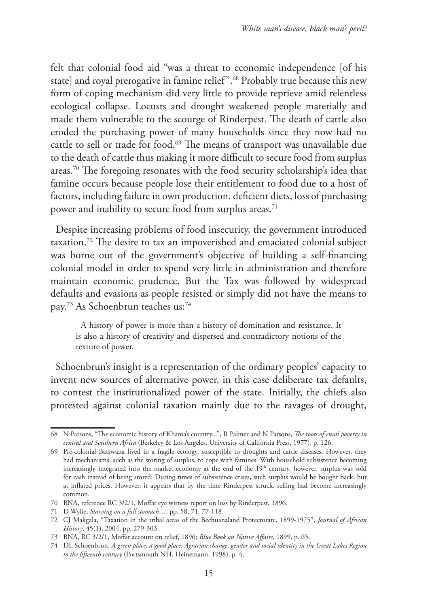felt that colonial food aid "was a threat to economic independence [of his state] and royal prerogative in famine relief".68 Probably true because this new form of coping mechanism did very little to provide reprieve amid relentless ecological collapse. Locusts and drought weakened people materially and made them vulnerable to the scourge of Rinderpest. The death of cattle also eroded the purchasing power of many households since they now had no cattle to sell or trade for food.<sup>69</sup> The means of transport was unavailable due to the death of cattle thus making it more difficult to secure food from surplus areas.70 The foregoing resonates with the food security scholarship's idea that famine occurs because people lose their entitlement to food due to a host of factors, including failure in own production, deficient diets, loss of purchasing power and inability to secure food from surplus areas.<sup>71</sup>

Despite increasing problems of food insecurity, the government introduced taxation.72 The desire to tax an impoverished and emaciated colonial subject was borne out of the government's objective of building a self-financing colonial model in order to spend very little in administration and therefore maintain economic prudence. But the Tax was followed by widespread defaults and evasions as people resisted or simply did not have the means to pay.<sup>73</sup> As Schoenbrun teaches us:<sup>74</sup>

A history of power is more than a history of domination and resistance. It is also a history of creativity and dispersed and contradictory notions of the texture of power.

Schoenbrun's insight is a representation of the ordinary peoples' capacity to invent new sources of alternative power, in this case deliberate tax defaults, to contest the institutionalized power of the state. Initially, the chiefs also protested against colonial taxation mainly due to the ravages of drought,

<sup>68</sup> N Parsons, "The economic history of Khama's country...", R Palmer and N Parsons, *The roots of rural poverty in central and Southern Africa* (Berkeley & Los Angeles, University of California Press, 1977), p. 126.

<sup>69</sup> Pre-colonial Batswana lived in a fragile ecology, susceptible to droughts and cattle diseases. However, they had mechanisms, such as the storing of surplus, to cope with famines. With household subsistence becoming increasingly integrated into the market economy at the end of the 19<sup>th</sup> century, however, surplus was sold for cash instead of being stored. During times of subsistence crises, such surplus would be bought back, but at inflated prices. However, it appears that by the time Rinderpest struck, selling had become increasingly common.

<sup>70</sup> BNA, reference RC 3/2/1, Moffat eye witness report on loss by Rinderpest, 1896.

<sup>71</sup> D Wylie, *Starving on a full stomach*…, pp. 58, 71, 77-118.

<sup>72</sup> CJ Makgala, "Taxation in the tribal areas of the Bechuanaland Protectorate, 1899-1975", *Journal of African History*, 45(1), 2004, pp. 279-303.

<sup>73</sup> BNA, RC 3/2/1, Moffat account on relief, 1896; *Blue Book on Native Affairs*, 1899, p. 65.

<sup>74</sup> DL Schoenbrun, *A green place, a good place: Agrarian change, gender and social identity in the Great Lakes Region to the fifteenth century* (Portsmouth NH, Heinemann, 1998), p. 4.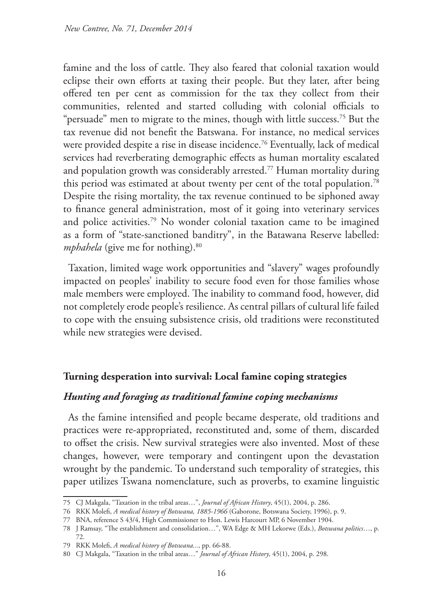famine and the loss of cattle. They also feared that colonial taxation would eclipse their own efforts at taxing their people. But they later, after being offered ten per cent as commission for the tax they collect from their communities, relented and started colluding with colonial officials to "persuade" men to migrate to the mines, though with little success.<sup>75</sup> But the tax revenue did not benefit the Batswana. For instance, no medical services were provided despite a rise in disease incidence.<sup>76</sup> Eventually, lack of medical services had reverberating demographic effects as human mortality escalated and population growth was considerably arrested.77 Human mortality during this period was estimated at about twenty per cent of the total population.<sup>78</sup> Despite the rising mortality, the tax revenue continued to be siphoned away to finance general administration, most of it going into veterinary services and police activities.79 No wonder colonial taxation came to be imagined as a form of "state-sanctioned banditry", in the Batawana Reserve labelled: *mphahela* (give me for nothing).<sup>80</sup>

Taxation, limited wage work opportunities and "slavery" wages profoundly impacted on peoples' inability to secure food even for those families whose male members were employed. The inability to command food, however, did not completely erode people's resilience. As central pillars of cultural life failed to cope with the ensuing subsistence crisis, old traditions were reconstituted while new strategies were devised.

#### **Turning desperation into survival: Local famine coping strategies**

#### *Hunting and foraging as traditional famine coping mechanisms*

As the famine intensified and people became desperate, old traditions and practices were re-appropriated, reconstituted and, some of them, discarded to offset the crisis. New survival strategies were also invented. Most of these changes, however, were temporary and contingent upon the devastation wrought by the pandemic. To understand such temporality of strategies, this paper utilizes Tswana nomenclature, such as proverbs, to examine linguistic

<sup>75</sup> CJ Makgala, "Taxation in the tribal areas…", *Journal of African History*, 45(1), 2004, p. 286.

<sup>76</sup> RKK Molefi, *A medical history of Botswana, 1885-1966* (Gaborone, Botswana Society, 1996), p. 9.

<sup>77</sup> BNA, reference S 43/4, High Commissioner to Hon. Lewis Harcourt MP, 6 November 1904.

<sup>78</sup> J Ramsay, "The establishment and consolidation…", WA Edge & MH Lekorwe (Eds.), *Botswana politics*…, p. 72.

<sup>79</sup> RKK Molefi, *A medical history of Botswana...*, pp. 66-88.

<sup>80</sup> CJ Makgala, "Taxation in the tribal areas…" *Journal of African History*, 45(1), 2004, p. 298.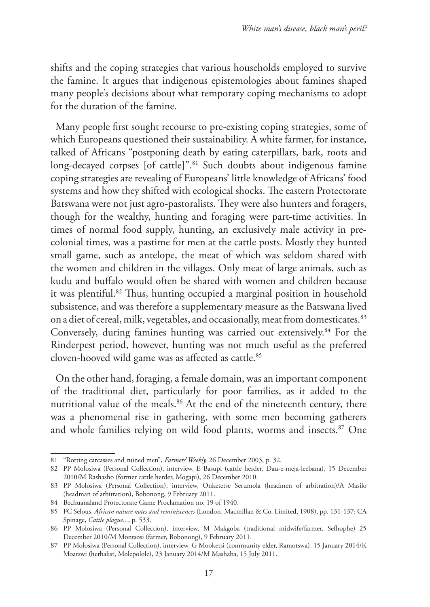shifts and the coping strategies that various households employed to survive the famine. It argues that indigenous epistemologies about famines shaped many people's decisions about what temporary coping mechanisms to adopt for the duration of the famine.

Many people first sought recourse to pre-existing coping strategies, some of which Europeans questioned their sustainability. A white farmer, for instance, talked of Africans "postponing death by eating caterpillars, bark, roots and long-decayed corpses [of cattle]".<sup>81</sup> Such doubts about indigenous famine coping strategies are revealing of Europeans' little knowledge of Africans' food systems and how they shifted with ecological shocks. The eastern Protectorate Batswana were not just agro-pastoralists. They were also hunters and foragers, though for the wealthy, hunting and foraging were part-time activities. In times of normal food supply, hunting, an exclusively male activity in precolonial times, was a pastime for men at the cattle posts. Mostly they hunted small game, such as antelope, the meat of which was seldom shared with the women and children in the villages. Only meat of large animals, such as kudu and buffalo would often be shared with women and children because it was plentiful.82 Thus, hunting occupied a marginal position in household subsistence, and was therefore a supplementary measure as the Batswana lived on a diet of cereal, milk, vegetables, and occasionally, meat from domesticates.<sup>83</sup> Conversely, during famines hunting was carried out extensively.84 For the Rinderpest period, however, hunting was not much useful as the preferred cloven-hooved wild game was as affected as cattle.<sup>85</sup>

On the other hand, foraging, a female domain, was an important component of the traditional diet, particularly for poor families, as it added to the nutritional value of the meals.<sup>86</sup> At the end of the nineteenth century, there was a phenomenal rise in gathering, with some men becoming gatherers and whole families relying on wild food plants, worms and insects.<sup>87</sup> One

<sup>81</sup> "Rotting carcasses and ruined men", *Farmers' Weekly,* 26 December 2003, p. 32.

<sup>82</sup> PP Molosiwa (Personal Collection), interview, E Basupi (cattle herder, Dau-e-meja-leebana), 15 December 2010/M Rashasho (former cattle herder, Mogapi), 26 December 2010.

<sup>83</sup> PP Molosiwa (Personal Collection), interview, Onketetse Serumola (headmen of arbitration)/A Masilo (headman of arbitration), Bobonong, 9 February 2011.

<sup>84</sup> Bechuanaland Protectorate Game Proclamation no. 19 of 1940.

<sup>85</sup> FC Selous, *African nature notes and reminiscences* (London, Macmillan & Co. Limited, 1908), pp. 131-137; CA Spinage, *Cattle plague...*, p. 533.

<sup>86</sup> PP Molosiwa (Personal Collection), interview, M Makgoba (traditional midwife/farmer, Sefhophe) 25 December 2010/M Montsosi (farmer, Bobonong), 9 February 2011.

<sup>87</sup> PP Molosiwa (Personal Collection), interview, G Mooketsi (community elder, Ramotswa), 15 January 2014/K Moatswi (herbalist, Molepolole), 23 January 2014/M Mashaba, 15 July 2011.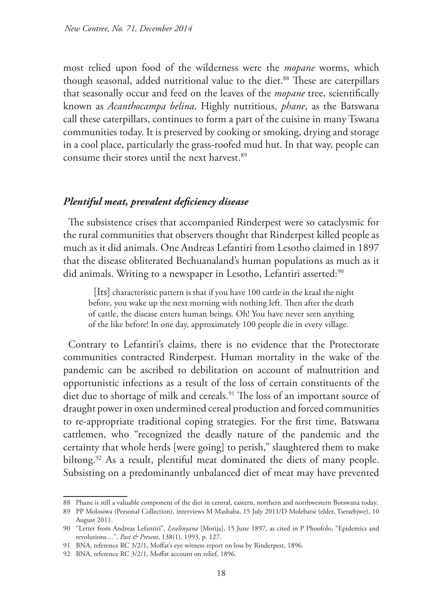most relied upon food of the wilderness were the *mopane* worms, which though seasonal, added nutritional value to the diet.<sup>88</sup> These are caterpillars that seasonally occur and feed on the leaves of the *mopane* tree, scientifically known as *Acanthocampa belina*. Highly nutritious, *phane*, as the Batswana call these caterpillars, continues to form a part of the cuisine in many Tswana communities today. It is preserved by cooking or smoking, drying and storage in a cool place, particularly the grass-roofed mud hut. In that way, people can consume their stores until the next harvest.<sup>89</sup>

### *Plentiful meat, prevalent deficiency disease*

The subsistence crises that accompanied Rinderpest were so cataclysmic for the rural communities that observers thought that Rinderpest killed people as much as it did animals. One Andreas Lefantiri from Lesotho claimed in 1897 that the disease obliterated Bechuanaland's human populations as much as it did animals. Writing to a newspaper in Lesotho, Lefantiri asserted:<sup>90</sup>

[Its] characteristic pattern is that if you have 100 cattle in the kraal the night before, you wake up the next morning with nothing left. Then after the death of cattle, the disease enters human beings. Oh! You have never seen anything of the like before! In one day, approximately 100 people die in every village.

Contrary to Lefantiri's claims, there is no evidence that the Protectorate communities contracted Rinderpest. Human mortality in the wake of the pandemic can be ascribed to debilitation on account of malnutrition and opportunistic infections as a result of the loss of certain constituents of the diet due to shortage of milk and cereals.<sup>91</sup> The loss of an important source of draught power in oxen undermined cereal production and forced communities to re-appropriate traditional coping strategies. For the first time, Batswana cattlemen, who "recognized the deadly nature of the pandemic and the certainty that whole herds [were going] to perish," slaughtered them to make biltong.<sup>92</sup> As a result, plentiful meat dominated the diets of many people. Subsisting on a predominantly unbalanced diet of meat may have prevented

<sup>88</sup> Phane is still a valuable component of the diet in central, eastern, northern and northwestern Botswana today.

<sup>89</sup> PP Molosiwa (Personal Collection), interviews M Mashaba, 15 July 2011/D Molebatsi (elder, Tsetsebjwe), 10 August 2011.

<sup>90</sup> "Letter from Andreas Lefantiri", *Leselinyana* [Morija], 15 June 1897, as cited in P Phoofolo, "Epidemics and revolutions…", *Past & Present*, 138(1), 1993, p. 127.

<sup>91</sup> BNA, reference RC 3/2/1, Moffat's eye witness report on loss by Rinderpest, 1896.

<sup>92</sup> BNA, reference RC 3/2/1, Moffat account on relief, 1896.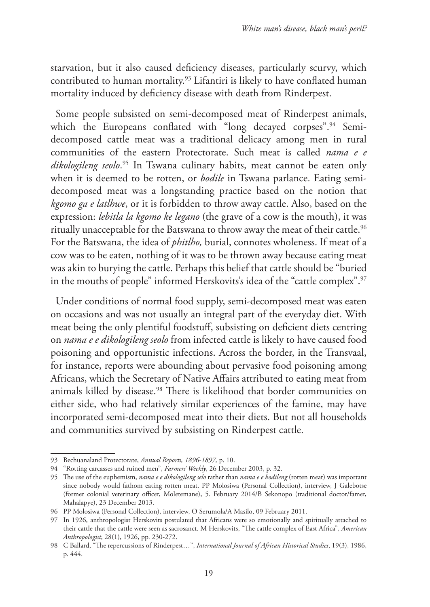starvation, but it also caused deficiency diseases, particularly scurvy, which contributed to human mortality.93 Lifantiri is likely to have conflated human mortality induced by deficiency disease with death from Rinderpest.

Some people subsisted on semi-decomposed meat of Rinderpest animals, which the Europeans conflated with "long decayed corpses".<sup>94</sup> Semidecomposed cattle meat was a traditional delicacy among men in rural communities of the eastern Protectorate. Such meat is called *nama e e dikologileng seolo*. 95 In Tswana culinary habits, meat cannot be eaten only when it is deemed to be rotten, or *bodile* in Tswana parlance. Eating semidecomposed meat was a longstanding practice based on the notion that *kgomo ga e latlhwe*, or it is forbidden to throw away cattle. Also, based on the expression: *lebitla la kgomo ke legano* (the grave of a cow is the mouth), it was ritually unacceptable for the Batswana to throw away the meat of their cattle.<sup>96</sup> For the Batswana, the idea of *phitlho,* burial, connotes wholeness. If meat of a cow was to be eaten, nothing of it was to be thrown away because eating meat was akin to burying the cattle. Perhaps this belief that cattle should be "buried in the mouths of people" informed Herskovits's idea of the "cattle complex".<sup>97</sup>

Under conditions of normal food supply, semi-decomposed meat was eaten on occasions and was not usually an integral part of the everyday diet. With meat being the only plentiful foodstuff, subsisting on deficient diets centring on *nama e e dikologileng seolo* from infected cattle is likely to have caused food poisoning and opportunistic infections. Across the border, in the Transvaal, for instance, reports were abounding about pervasive food poisoning among Africans, which the Secretary of Native Affairs attributed to eating meat from animals killed by disease.<sup>98</sup> There is likelihood that border communities on either side, who had relatively similar experiences of the famine, may have incorporated semi-decomposed meat into their diets. But not all households and communities survived by subsisting on Rinderpest cattle.

<sup>93</sup> Bechuanaland Protectorate, *Annual Reports, 1896-1897,* p. 10.

<sup>94</sup> "Rotting carcasses and ruined men", *Farmers' Weekly*, 26 December 2003, p. 32.

<sup>95</sup> The use of the euphemism, *nama e e dikologileng selo* rather than *nama e e bodileng* (rotten meat) was important since nobody would fathom eating rotten meat. PP Molosiwa (Personal Collection), interview, J Galebotse (former colonial veterinary officer, Moletemane), 5. February 2014/B Sekonopo (traditional doctor/famer, Mahalapye), 23 December 2013.

<sup>96</sup> PP Molosiwa (Personal Collection), interview, O Serumola/A Masilo, 09 February 2011.

<sup>97</sup> In 1926, anthropologist Herskovits postulated that Africans were so emotionally and spiritually attached to their cattle that the cattle were seen as sacrosanct. M Herskovits, "The cattle complex of East Africa", *American Anthropologist*, 28(1), 1926, pp. 230-272.

<sup>98</sup> C Ballard, "The repercussions of Rinderpest…", *International Journal of African Historical Studies*, 19(3), 1986, p. 444.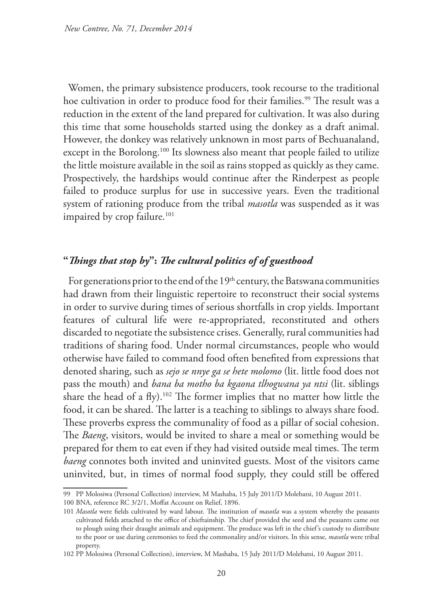Women, the primary subsistence producers, took recourse to the traditional hoe cultivation in order to produce food for their families.<sup>99</sup> The result was a reduction in the extent of the land prepared for cultivation. It was also during this time that some households started using the donkey as a draft animal. However, the donkey was relatively unknown in most parts of Bechuanaland, except in the Borolong.<sup>100</sup> Its slowness also meant that people failed to utilize the little moisture available in the soil as rains stopped as quickly as they came. Prospectively, the hardships would continue after the Rinderpest as people failed to produce surplus for use in successive years. Even the traditional system of rationing produce from the tribal *masotla* was suspended as it was impaired by crop failure.<sup>101</sup>

## **"***Things that stop by***":** *The cultural politics of of guesthood*

For generations prior to the end of the 19<sup>th</sup> century, the Batswana communities had drawn from their linguistic repertoire to reconstruct their social systems in order to survive during times of serious shortfalls in crop yields. Important features of cultural life were re-appropriated, reconstituted and others discarded to negotiate the subsistence crises. Generally, rural communities had traditions of sharing food. Under normal circumstances, people who would otherwise have failed to command food often benefited from expressions that denoted sharing, such as *sejo se nnye ga se hete molomo* (lit. little food does not pass the mouth) and *bana ba motho ba kgaona tlhogwana ya ntsi* (lit. siblings share the head of a fly).<sup>102</sup> The former implies that no matter how little the food, it can be shared. The latter is a teaching to siblings to always share food. These proverbs express the communality of food as a pillar of social cohesion. The *Baeng*, visitors, would be invited to share a meal or something would be prepared for them to eat even if they had visited outside meal times. The term *baeng* connotes both invited and uninvited guests. Most of the visitors came uninvited, but, in times of normal food supply, they could still be offered

<sup>99</sup> PP Molosiwa (Personal Collection) interview, M Mashaba, 15 July 2011/D Molebatsi, 10 August 2011.

<sup>100</sup> BNA, reference RC 3/2/1, Moffat Account on Relief, 1896.

<sup>101</sup> *Masotla* were fields cultivated by ward labour. The institution of *masotla* was a system whereby the peasants cultivated fields attached to the office of chieftainship. The chief provided the seed and the peasants came out to plough using their draught animals and equipment. The produce was left in the chief's custody to distribute to the poor or use during ceremonies to feed the commonality and/or visitors. In this sense, *masotla* were tribal property.

<sup>102</sup> PP Molosiwa (Personal Collection), interview, M Mashaba, 15 July 2011/D Molebatsi, 10 August 2011.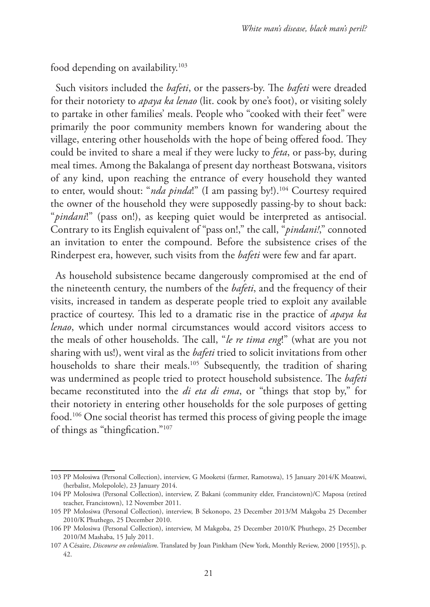food depending on availability.<sup>103</sup>

Such visitors included the *bafeti*, or the passers-by. The *bafeti* were dreaded for their notoriety to *apaya ka lenao* (lit. cook by one's foot), or visiting solely to partake in other families' meals. People who "cooked with their feet" were primarily the poor community members known for wandering about the village, entering other households with the hope of being offered food. They could be invited to share a meal if they were lucky to *feta*, or pass-by, during meal times. Among the Bakalanga of present day northeast Botswana, visitors of any kind, upon reaching the entrance of every household they wanted to enter, would shout: "*nda pinda*!" (I am passing by!).<sup>104</sup> Courtesy required the owner of the household they were supposedly passing-by to shout back: "*pindani*!" (pass on!), as keeping quiet would be interpreted as antisocial. Contrary to its English equivalent of "pass on!," the call, "*pindani!*," connoted an invitation to enter the compound. Before the subsistence crises of the Rinderpest era, however, such visits from the *bafeti* were few and far apart.

As household subsistence became dangerously compromised at the end of the nineteenth century, the numbers of the *bafeti*, and the frequency of their visits, increased in tandem as desperate people tried to exploit any available practice of courtesy. This led to a dramatic rise in the practice of *apaya ka lenao*, which under normal circumstances would accord visitors access to the meals of other households. The call, "*le re tima eng*!" (what are you not sharing with us!), went viral as the *bafeti* tried to solicit invitations from other households to share their meals.<sup>105</sup> Subsequently, the tradition of sharing was undermined as people tried to protect household subsistence. The *bafeti*  became reconstituted into the *di eta di ema*, or "things that stop by," for their notoriety in entering other households for the sole purposes of getting food.106 One social theorist has termed this process of giving people the image of things as "thingfication."107

<sup>103</sup> PP Molosiwa (Personal Collection), interview, G Mooketsi (farmer, Ramotswa), 15 January 2014/K Moatswi, (herbalist, Molepolole), 23 January 2014.

<sup>104</sup> PP Molosiwa (Personal Collection), interview, Z Bakani (community elder, Francistown)/C Maposa (retired teacher, Francistown), 12 November 2011.

<sup>105</sup> PP Molosiwa (Personal Collection), interview, B Sekonopo, 23 December 2013/M Makgoba 25 December 2010/K Phuthego, 25 December 2010.

<sup>106</sup> PP Molosiwa (Personal Collection), interview, M Makgoba, 25 December 2010/K Phuthego, 25 December 2010/M Mashaba, 15 July 2011.

<sup>107</sup> A Césaire, *Discourse on colonialism*. Translated by Joan Pinkham (New York, Monthly Review, 2000 [1955]), p. 42.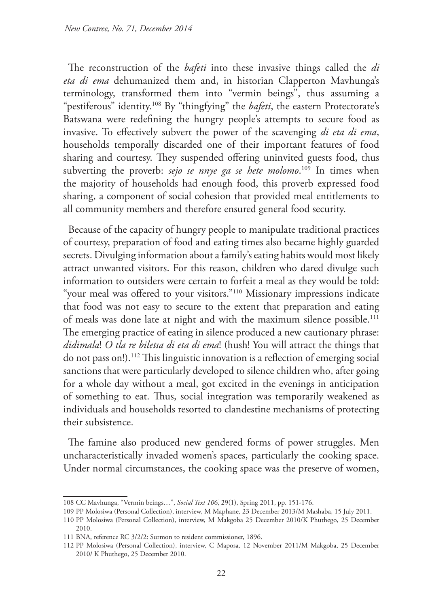The reconstruction of the *bafeti* into these invasive things called the *di eta di ema* dehumanized them and, in historian Clapperton Mavhunga's terminology, transformed them into "vermin beings", thus assuming a "pestiferous" identity.108 By "thingfying" the *bafeti*, the eastern Protectorate's Batswana were redefining the hungry people's attempts to secure food as invasive. To effectively subvert the power of the scavenging *di eta di ema*, households temporally discarded one of their important features of food sharing and courtesy. They suspended offering uninvited guests food, thus subverting the proverb: *sejo se nnye ga se hete molomo*. 109 In times when the majority of households had enough food, this proverb expressed food sharing, a component of social cohesion that provided meal entitlements to all community members and therefore ensured general food security.

Because of the capacity of hungry people to manipulate traditional practices of courtesy, preparation of food and eating times also became highly guarded secrets. Divulging information about a family's eating habits would most likely attract unwanted visitors. For this reason, children who dared divulge such information to outsiders were certain to forfeit a meal as they would be told: "your meal was offered to your visitors."110 Missionary impressions indicate that food was not easy to secure to the extent that preparation and eating of meals was done late at night and with the maximum silence possible.<sup>111</sup> The emerging practice of eating in silence produced a new cautionary phrase: *didimala*! *O tla re biletsa di eta di ema*! (hush! You will attract the things that do not pass on!).112 This linguistic innovation is a reflection of emerging social sanctions that were particularly developed to silence children who, after going for a whole day without a meal, got excited in the evenings in anticipation of something to eat. Thus, social integration was temporarily weakened as individuals and households resorted to clandestine mechanisms of protecting their subsistence.

The famine also produced new gendered forms of power struggles. Men uncharacteristically invaded women's spaces, particularly the cooking space. Under normal circumstances, the cooking space was the preserve of women,

<sup>108</sup> CC Mavhunga, "Vermin beings…", *Social Text 106*, 29(1), Spring 2011, pp. 151-176.

<sup>109</sup> PP Molosiwa (Personal Collection), interview, M Maphane, 23 December 2013/M Mashaba, 15 July 2011.

<sup>110</sup> PP Molosiwa (Personal Collection), interview, M Makgoba 25 December 2010/K Phuthego, 25 December 2010.

<sup>111</sup> BNA, reference RC 3/2/2: Surmon to resident commissioner, 1896.

<sup>112</sup> PP Molosiwa (Personal Collection), interview, C Maposa, 12 November 2011/M Makgoba, 25 December 2010/ K Phuthego, 25 December 2010.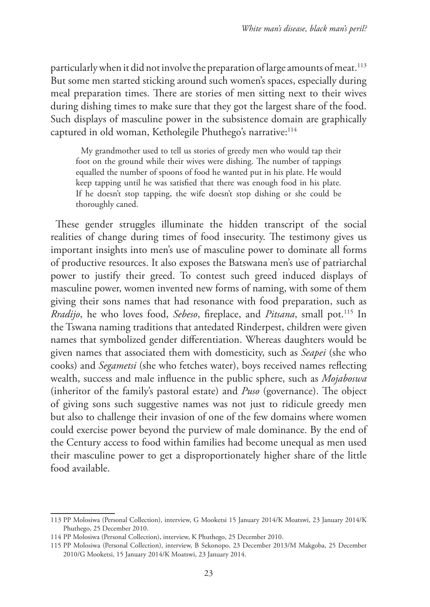particularly when it did not involve the preparation of large amounts of meat.<sup>113</sup> But some men started sticking around such women's spaces, especially during meal preparation times. There are stories of men sitting next to their wives during dishing times to make sure that they got the largest share of the food. Such displays of masculine power in the subsistence domain are graphically captured in old woman, Ketholegile Phuthego's narrative:<sup>114</sup>

My grandmother used to tell us stories of greedy men who would tap their foot on the ground while their wives were dishing. The number of tappings equalled the number of spoons of food he wanted put in his plate. He would keep tapping until he was satisfied that there was enough food in his plate. If he doesn't stop tapping, the wife doesn't stop dishing or she could be thoroughly caned.

These gender struggles illuminate the hidden transcript of the social realities of change during times of food insecurity. The testimony gives us important insights into men's use of masculine power to dominate all forms of productive resources. It also exposes the Batswana men's use of patriarchal power to justify their greed. To contest such greed induced displays of masculine power, women invented new forms of naming, with some of them giving their sons names that had resonance with food preparation, such as *Rradijo*, he who loves food, *Sebeso*, fireplace, and *Pitsana*, small pot.115 In the Tswana naming traditions that antedated Rinderpest, children were given names that symbolized gender differentiation. Whereas daughters would be given names that associated them with domesticity, such as *Seapei* (she who cooks) and *Segametsi* (she who fetches water), boys received names reflecting wealth, success and male influence in the public sphere, such as *Mojaboswa* (inheritor of the family's pastoral estate) and *Puso* (governance). The object of giving sons such suggestive names was not just to ridicule greedy men but also to challenge their invasion of one of the few domains where women could exercise power beyond the purview of male dominance. By the end of the Century access to food within families had become unequal as men used their masculine power to get a disproportionately higher share of the little food available.

<sup>113</sup> PP Molosiwa (Personal Collection), interview, G Mooketsi 15 January 2014/K Moatswi, 23 January 2014/K Phuthego, 25 December 2010.

<sup>114</sup> PP Molosiwa (Personal Collection), interview, K Phuthego, 25 December 2010.

<sup>115</sup> PP Molosiwa (Personal Collection), interview, B Sekonopo, 23 December 2013/M Makgoba, 25 December 2010/G Mooketsi, 15 January 2014/K Moatswi, 23 January 2014.